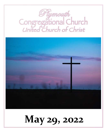# *Plymouth*<br>Congregational Church<br>United Church of Christ



## **May 29, 2022**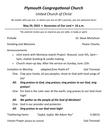### *Plymouth Congregational Church United Church of Christ*

*No matter who you are, or where you are on life's journey, you are welcome here!*

#### **May 29, 2022 • Ascension of Our Lord • 10 a.m.**

*\*An asterisk invites you to stand as you are able, in body or spirit.*

Prelude Dr. Steve Michelson

Greeting and Welcome **Pastor Charles Pastor Charles** 

Announcements

- Joint event with Montana Jewish Project: Shavuot, June 5th, 2pm— 5pm, challah braiding & candle-making.
- Church clean-up day: After the service on Sunday, June 12th.

Invitation to Worship *adapted from Psalm 67* Gail Tronstad

- One: Clap your hands, all you peoples; shout to God with loud songs of joy!
- *All: Sing praises to God, sing praises; sing praises to our God, sing praises!*
- One: For God is the ruler over all the earth; sing praises to our God most high!
- *All: We gather as the people of the God of Abraham!*
- One: God is our provider and protector.
- *All: Sing praises to our God most high!*

\*Gathering Hymn *"Joyful, Joyful, We Adore You"* 4 (NCH)

Unison Prayer *(please be seated)* Gail Tronstad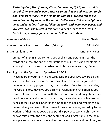*Nurturing God, Transforming Christ, Empowering Spirit, we cry out in despair from a world in need. There is so much fear, sadness, and confusion; help us to make sense of it all. Be with us as we comfort those around us and try to make the world a better place. Shine your light upon us and let it flow from us, filling the world with your love, peace, and joy. [We invite you to rest in this brief moment of silence to listen for God's loving message for you this day.] (30 seconds) Amen.*

| Assurance of Grace             |                   | <b>Pastor Charles</b>  |
|--------------------------------|-------------------|------------------------|
| <b>Congregational Response</b> | "God of the Ages" | 592 (NCH)              |
| Prayer of Illumination         |                   | <b>Nancy Michelson</b> |

Creator of all things, we come to you seeking understanding. Let the words of our mouths and the meditations of our hearts be acceptable in your sight, our rock and our redeemer. In Jesus name we pray. Amen.

#### Reading from the Epistles Ephesians 1:15-23

I have heard of your faith in the Lord Jesus and your love toward all the saints, and for this reason I do not cease to give thanks for you as I remember you in my prayers. I pray that the God of our Lord Jesus Christ, the God of glory, may give you a spirit of wisdom and revelation as you come to know them, so that, with the eyes of your heart enlightened, you may know what is the hope to which they have called you, what are the riches of their glorious inheritance among the saints, and what is the immeasurable greatness of their power for us who believe, according to the working of their great power. God put this power to work in Christ when he was raised from the dead and seated at God's right hand in the heavenly places, far above all rule and authority and power and dominion, and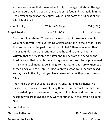above every name that is named, not only in this age but also in the age to come. And God has put all things under his feet and has made him the head over all things for the church, which is his body, the fullness of him who fills all in all.

| Hymn of Unity         | "This is My Song" | 591 (NCH)             |
|-----------------------|-------------------|-----------------------|
| <b>Gospel Reading</b> | Luke 24:44-53     | <b>Pastor Charles</b> |

Then he said to them, "These are my words that I spoke to you while I was still with you—that everything written about me in the law of Moses, the prophets, and the psalms must be fulfilled." Then he opened their minds to understand the scriptures, and he said to them, "Thus it is written, that the Messiah is to suffer and to rise from the dead on the third day, and that repentance and forgiveness of sins is to be proclaimed in his name to all nations, beginning from Jerusalem. You are witnesses of these things. And see, I am sending upon you what my Father promised; so stay here in the city until you have been clothed with power from on high."

Then he led them out as far as Bethany, and, lifting up his hands, he blessed them. While he was blessing them, he withdrew from them and was carried up into heaven. And they worshiped him, and returned to Jerusalem with great joy; and they were continually in the temple blessing God.

Pastoral Reflection \*Musical Reflection **Dr.** Steve Michelson

Prayers of the People **Pastor Charles** Pastor Charles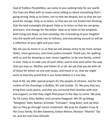God of Endless Possibilities, we come to you seeking help for our world. Our lives are filled with so many voices telling us about everything that's going wrong. Help us to listen, not so that we despair, but so that we can work for change. Help us to listen, so that we are not fooled into thinking that the bad outweighs the good. Help us to listen so that we can grow, and learn, and change for the better. Help us to listen to the prophets both living and dead, so that someday, the in-breaking of your kingdom into the world will come into its fullness, and everything around us will be a reflection of your light and your love.

We ask you to move in us so that we will always strive to be more sympathetic, more generous, and more justice-minded. Thank you, for walking with us and for drawing us ever closer together, to be one family, united in love. Help us to take care of each other, and to love each other the way that you love us. Mother and Father of us all, we ask that you be with all of those for whom no one ever prays, and move in us, that we might work to heal this world that is our home before it is too late.

God of All, we offer special prayers for the people of Ukraine, and for the victims of the shootings in Buffalo, NY and Uvalde, TX. We pray that you bring their souls peace, and that you surround their families with love and support, so that they might find peace in the days to come. We pray for Ed Canty, Giles Walker, and Lorraine Hopgood. We lift up Margy "Marghee" Kohl, Nathan Schreder "Schrader", Greg Bolin, and Jay Sheldon as they go through cancer treatment. We pray for Hayden Cross & the Cross family, for Ben Sweeney, Evelyn Nelson, Marlyce "Marliss" Taylor, and Art and Clara Gilreath.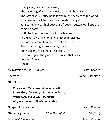Loving God, in whom is heaven;

The hallowing of your name echo through the universe! The way of your justice be followed by the peoples of the world! Your heavenly will be done by all created beings! Your commonwealth of peace and freedom sustain our hope and come on earth. With the bread we need for today, feed us. In the hurts we inflict on one another, forgive us. In times of temptation and test, strengthen us. From trials too great to endure, spare us. From the grip of all that is evil, free us. For you reign in the glory of the power that is love, now and forever. Amen.

An Invitation to Share Our Gifts **Pastor Charles** Pastor Charles

Offertory **Nancy Michelson** 

\*Doxology

*Praise God, the Source of life and birth, Praise God, the Word, who came to Earth, Praise God, the Spirit, Holy Flame All glory, honor to God's name. Amen*

\*Prayer of Dedication **Pastor Charles Pastor Charles Pastor Charles** \*Departing Hymn *"How Beautiful"* 594 (NCH) \*Charge & Benediction **Pastor Charles** \* Charge & Benediction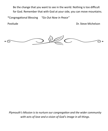Be the change that you want to see in the world. Nothing is too difficult for God. Remember that with God at your side, you can move mountains.

\*Congregational Blessing *"Go Out Now in Peace"*

Postlude **Dr. Steve Michelson** 



*Plymouth's Mission is to nurture our congregation and the wider community with acts of love and a vision of God's image in all things.*